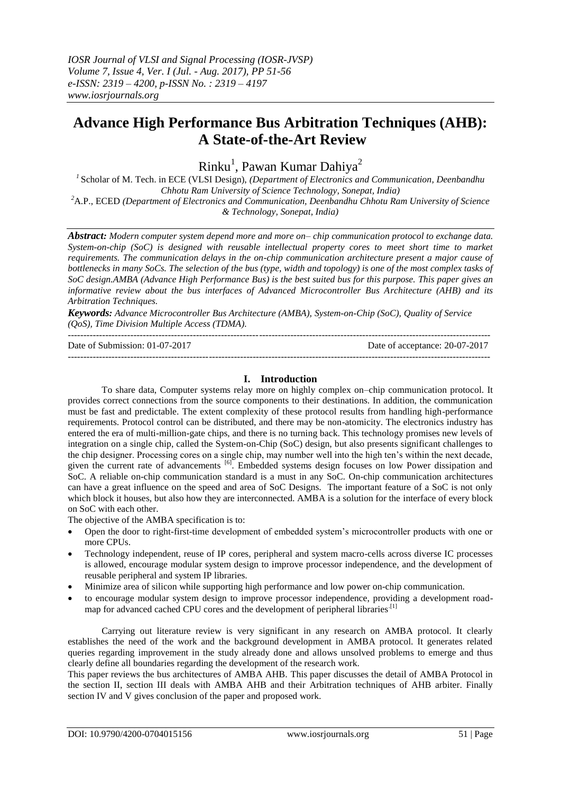# **Advance High Performance Bus Arbitration Techniques (AHB): A State-of-the-Art Review**

Rinku<sup>1</sup>, Pawan Kumar Dahiya<sup>2</sup>

*1* Scholar of M. Tech. in ECE (VLSI Design), *(Department of Electronics and Communication, Deenbandhu Chhotu Ram University of Science Technology, Sonepat, India) <sup>2</sup>*A.P., ECED *(Department of Electronics and Communication, Deenbandhu Chhotu Ram University of Science* 

*& Technology, Sonepat, India)*

*Abstract: Modern computer system depend more and more on– chip communication protocol to exchange data. System-on-chip (SoC) is designed with reusable intellectual property cores to meet short time to market requirements. The communication delays in the on-chip communication architecture present a major cause of bottlenecks in many SoCs. The selection of the bus (type, width and topology) is one of the most complex tasks of SoC design.AMBA (Advance High Performance Bus) is the best suited bus for this purpose. This paper gives an informative review about the bus interfaces of Advanced Microcontroller Bus Architecture (AHB) and its Arbitration Techniques.*

*Keywords: Advance Microcontroller Bus Architecture (AMBA), System-on-Chip (SoC), Quality of Service (QoS), Time Division Multiple Access (TDMA).* ---------------------------------------------------------------------------------------------------------------------------------------

Date of Submission: 01-07-2017 Date of acceptance: 20-07-2017 ---------------------------------------------------------------------------------------------------------------------------------------

## **I. Introduction**

To share data, Computer systems relay more on highly complex on–chip communication protocol. It provides correct connections from the source components to their destinations. In addition, the communication must be fast and predictable. The extent complexity of these protocol results from handling high-performance requirements. Protocol control can be distributed, and there may be non-atomicity. The electronics industry has entered the era of multi-million-gate chips, and there is no turning back. This technology promises new levels of integration on a single chip, called the System-on-Chip (SoC) design, but also presents significant challenges to the chip designer. Processing cores on a single chip, may number well into the high ten's within the next decade, given the current rate of advancements <sup>[6]</sup>. Embedded systems design focuses on low Power dissipation and SoC. A reliable on-chip communication standard is a must in any SoC. On-chip communication architectures can have a great influence on the speed and area of SoC Designs. The important feature of a SoC is not only which block it houses, but also how they are interconnected. AMBA is a solution for the interface of every block on SoC with each other.

The objective of the AMBA specification is to:

- Open the door to right-first-time development of embedded system's microcontroller products with one or more CPUs.
- Technology independent, reuse of IP cores, peripheral and system macro-cells across diverse IC processes is allowed, encourage modular system design to improve processor independence, and the development of reusable peripheral and system IP libraries.
- Minimize area of silicon while supporting high performance and low power on-chip communication.
- to encourage modular system design to improve processor independence, providing a development roadmap for advanced cached CPU cores and the development of peripheral libraries.<sup>[1]</sup>

Carrying out literature review is very significant in any research on AMBA protocol. It clearly establishes the need of the work and the background development in AMBA protocol. It generates related queries regarding improvement in the study already done and allows unsolved problems to emerge and thus clearly define all boundaries regarding the development of the research work.

This paper reviews the bus architectures of AMBA AHB. This paper discusses the detail of AMBA Protocol in the section II, section III deals with AMBA AHB and their Arbitration techniques of AHB arbiter. Finally section IV and V gives conclusion of the paper and proposed work.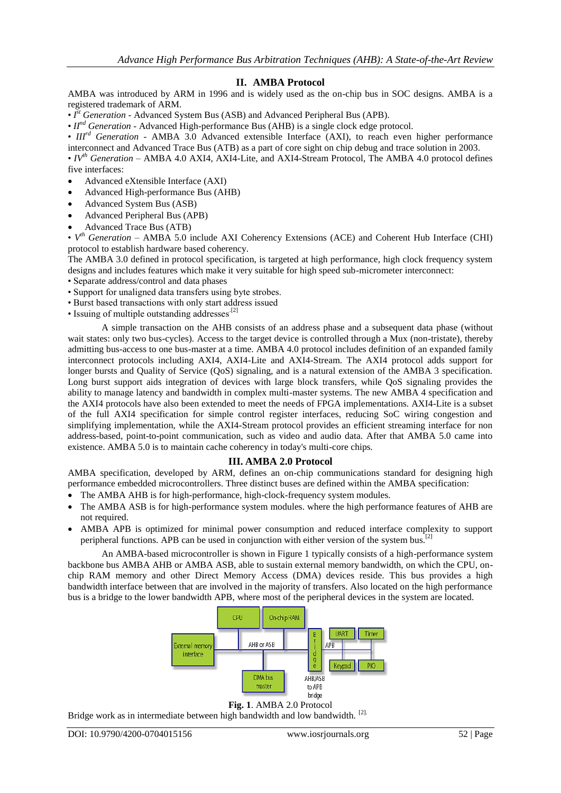## **II. AMBA Protocol**

AMBA was introduced by ARM in 1996 and is widely used as the on-chip bus in SOC designs. AMBA is a registered trademark of ARM.

•  $I<sup>st</sup> Generation$  - Advanced System Bus (ASB) and Advanced Peripheral Bus (APB).

• *IInd Generation* - Advanced High-performance Bus (AHB) is a single clock edge protocol.

• *III<sup>rd</sup> Generation* - AMBA 3.0 Advanced extensible Interface (AXI), to reach even higher performance interconnect and Advanced Trace Bus (ATB) as a part of core sight on chip debug and trace solution in 2003.

• *IVth Generation* – AMBA 4.0 AXI4, AXI4-Lite, and AXI4-Stream Protocol, The AMBA 4.0 protocol defines five interfaces:

- Advanced eXtensible Interface (AXI)
- Advanced High-performance Bus (AHB)
- Advanced System Bus (ASB)
- Advanced Peripheral Bus (APB)
- Advanced Trace Bus (ATB)

•  $V<sup>th</sup> Generation – AMBA 5.0 include AXI Coherency Extensions (ACE) and Coherent Hub Interface (CHI)$ protocol to establish hardware based coherency.

The AMBA 3.0 defined in protocol specification, is targeted at high performance, high clock frequency system designs and includes features which make it very suitable for high speed sub-micrometer interconnect:

• Separate address/control and data phases

- Support for unaligned data transfers using byte strobes.
- Burst based transactions with only start address issued
- Issuing of multiple outstanding addresses $^{[2]}$

A simple transaction on the AHB consists of an address phase and a subsequent data phase (without wait states: only two bus-cycles). Access to the target device is controlled through a Mux (non-tristate), thereby admitting bus-access to one bus-master at a time. AMBA 4.0 protocol includes definition of an expanded family interconnect protocols including AXI4, AXI4-Lite and AXI4-Stream. The AXI4 protocol adds support for longer bursts and Quality of Service (QoS) signaling, and is a natural extension of the AMBA 3 specification. Long burst support aids integration of devices with large block transfers, while QoS signaling provides the ability to manage latency and bandwidth in complex multi-master systems. The new AMBA 4 specification and the AXI4 protocols have also been extended to meet the needs of FPGA implementations. AXI4-Lite is a subset of the full AXI4 specification for simple control register interfaces, reducing SoC wiring congestion and simplifying implementation, while the AXI4-Stream protocol provides an efficient streaming interface for non address-based, point-to-point communication, such as video and audio data. After that AMBA 5.0 came into existence. AMBA 5.0 is to maintain cache coherency in today's multi-core chips*.*

## **III. AMBA 2.0 Protocol**

AMBA specification, developed by ARM, defines an on-chip communications standard for designing high performance embedded microcontrollers. Three distinct buses are defined within the AMBA specification:

- The AMBA AHB is for high-performance, high-clock-frequency system modules.
- The AMBA ASB is for high-performance system modules. where the high performance features of AHB are not required.
- AMBA APB is optimized for minimal power consumption and reduced interface complexity to support peripheral functions. APB can be used in conjunction with either version of the system bus.<sup>[2]</sup>

An AMBA-based microcontroller is shown in Figure 1 typically consists of a high-performance system backbone bus AMBA AHB or AMBA ASB, able to sustain external memory bandwidth, on which the CPU, onchip RAM memory and other Direct Memory Access (DMA) devices reside. This bus provides a high bandwidth interface between that are involved in the majority of transfers. Also located on the high performance bus is a bridge to the lower bandwidth APB, where most of the peripheral devices in the system are located.



#### **Fig. 1**. AMBA 2.0 Protocol

Bridge work as in intermediate between high bandwidth and low bandwidth. <sup>[2].</sup>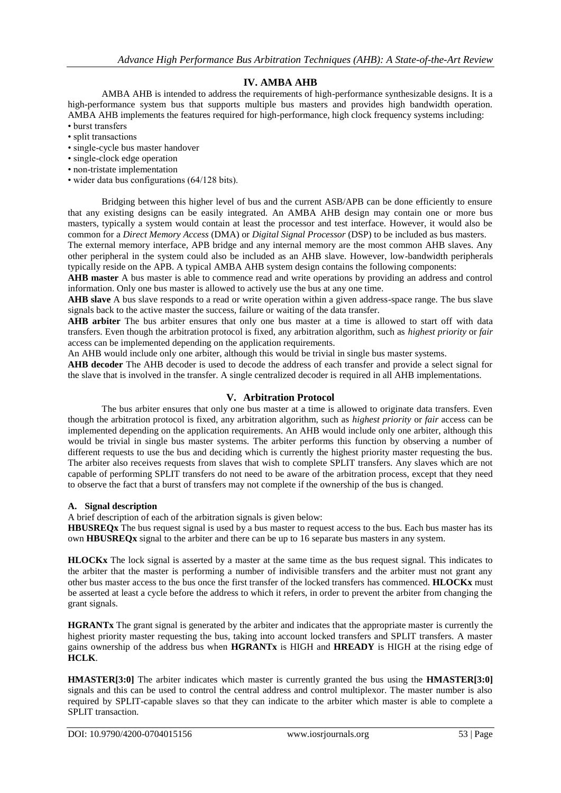## **IV. AMBA AHB**

AMBA AHB is intended to address the requirements of high-performance synthesizable designs. It is a high-performance system bus that supports multiple bus masters and provides high bandwidth operation. AMBA AHB implements the features required for high-performance, high clock frequency systems including: • burst transfers

- split transactions
- single-cycle bus master handover
- single-clock edge operation
- non-tristate implementation
- wider data bus configurations (64/128 bits).

Bridging between this higher level of bus and the current ASB/APB can be done efficiently to ensure that any existing designs can be easily integrated. An AMBA AHB design may contain one or more bus masters, typically a system would contain at least the processor and test interface. However, it would also be common for a *Direct Memory Access* (DMA) or *Digital Signal Processor* (DSP) to be included as bus masters.

The external memory interface, APB bridge and any internal memory are the most common AHB slaves. Any other peripheral in the system could also be included as an AHB slave. However, low-bandwidth peripherals typically reside on the APB. A typical AMBA AHB system design contains the following components:

**AHB master** A bus master is able to commence read and write operations by providing an address and control information. Only one bus master is allowed to actively use the bus at any one time.

**AHB slave** A bus slave responds to a read or write operation within a given address-space range. The bus slave signals back to the active master the success, failure or waiting of the data transfer.

AHB arbiter The bus arbiter ensures that only one bus master at a time is allowed to start off with data transfers. Even though the arbitration protocol is fixed, any arbitration algorithm, such as *highest priority* or *fair*  access can be implemented depending on the application requirements.

An AHB would include only one arbiter, although this would be trivial in single bus master systems.

**AHB decoder** The AHB decoder is used to decode the address of each transfer and provide a select signal for the slave that is involved in the transfer. A single centralized decoder is required in all AHB implementations.

## **V. Arbitration Protocol**

The bus arbiter ensures that only one bus master at a time is allowed to originate data transfers. Even though the arbitration protocol is fixed, any arbitration algorithm, such as *highest priority* or *fair* access can be implemented depending on the application requirements. An AHB would include only one arbiter, although this would be trivial in single bus master systems. The arbiter performs this function by observing a number of different requests to use the bus and deciding which is currently the highest priority master requesting the bus. The arbiter also receives requests from slaves that wish to complete SPLIT transfers. Any slaves which are not capable of performing SPLIT transfers do not need to be aware of the arbitration process, except that they need to observe the fact that a burst of transfers may not complete if the ownership of the bus is changed.

#### **A. Signal description**

A brief description of each of the arbitration signals is given below:

**HBUSREQx** The bus request signal is used by a bus master to request access to the bus. Each bus master has its own **HBUSREQx** signal to the arbiter and there can be up to 16 separate bus masters in any system.

**HLOCKx** The lock signal is asserted by a master at the same time as the bus request signal. This indicates to the arbiter that the master is performing a number of indivisible transfers and the arbiter must not grant any other bus master access to the bus once the first transfer of the locked transfers has commenced. **HLOCKx** must be asserted at least a cycle before the address to which it refers, in order to prevent the arbiter from changing the grant signals.

**HGRANTx** The grant signal is generated by the arbiter and indicates that the appropriate master is currently the highest priority master requesting the bus, taking into account locked transfers and SPLIT transfers. A master gains ownership of the address bus when **HGRANTx** is HIGH and **HREADY** is HIGH at the rising edge of **HCLK**.

**HMASTER[3:0]** The arbiter indicates which master is currently granted the bus using the **HMASTER[3:0]**  signals and this can be used to control the central address and control multiplexor. The master number is also required by SPLIT-capable slaves so that they can indicate to the arbiter which master is able to complete a SPLIT transaction.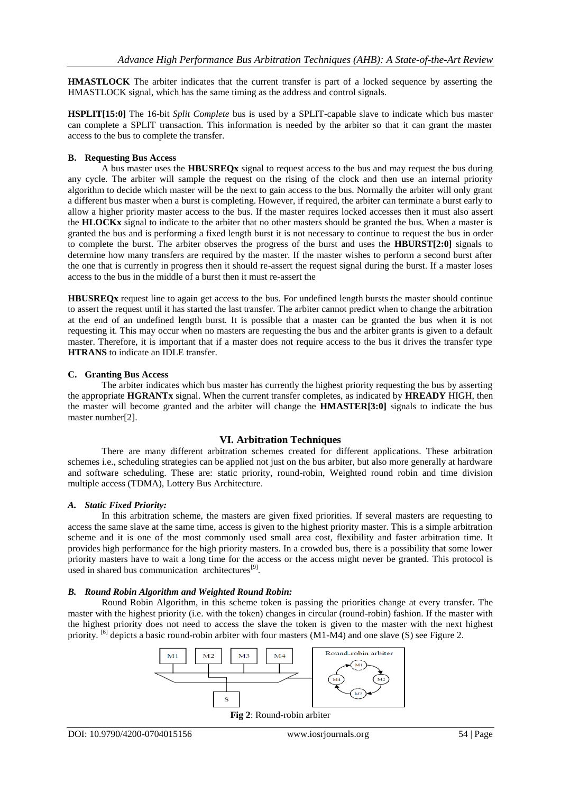**HMASTLOCK** The arbiter indicates that the current transfer is part of a locked sequence by asserting the HMASTLOCK signal, which has the same timing as the address and control signals.

**HSPLIT[15:0]** The 16-bit *Split Complete* bus is used by a SPLIT-capable slave to indicate which bus master can complete a SPLIT transaction. This information is needed by the arbiter so that it can grant the master access to the bus to complete the transfer.

#### **B. Requesting Bus Access**

A bus master uses the **HBUSREQx** signal to request access to the bus and may request the bus during any cycle. The arbiter will sample the request on the rising of the clock and then use an internal priority algorithm to decide which master will be the next to gain access to the bus. Normally the arbiter will only grant a different bus master when a burst is completing. However, if required, the arbiter can terminate a burst early to allow a higher priority master access to the bus. If the master requires locked accesses then it must also assert the **HLOCKx** signal to indicate to the arbiter that no other masters should be granted the bus. When a master is granted the bus and is performing a fixed length burst it is not necessary to continue to request the bus in order to complete the burst. The arbiter observes the progress of the burst and uses the **HBURST[2:0]** signals to determine how many transfers are required by the master. If the master wishes to perform a second burst after the one that is currently in progress then it should re-assert the request signal during the burst. If a master loses access to the bus in the middle of a burst then it must re-assert the

**HBUSREQx** request line to again get access to the bus. For undefined length bursts the master should continue to assert the request until it has started the last transfer. The arbiter cannot predict when to change the arbitration at the end of an undefined length burst. It is possible that a master can be granted the bus when it is not requesting it. This may occur when no masters are requesting the bus and the arbiter grants is given to a default master. Therefore, it is important that if a master does not require access to the bus it drives the transfer type **HTRANS** to indicate an IDLE transfer.

## **C. Granting Bus Access**

The arbiter indicates which bus master has currently the highest priority requesting the bus by asserting the appropriate **HGRANTx** signal. When the current transfer completes, as indicated by **HREADY** HIGH, then the master will become granted and the arbiter will change the **HMASTER[3:0]** signals to indicate the bus master number[2].

## **VI. Arbitration Techniques**

There are many different arbitration schemes created for different applications. These arbitration schemes i.e., scheduling strategies can be applied not just on the bus arbiter, but also more generally at hardware and software scheduling. These are: static priority, round-robin, Weighted round robin and time division multiple access (TDMA), Lottery Bus Architecture.

## *A. Static Fixed Priority:*

In this arbitration scheme, the masters are given fixed priorities. If several masters are requesting to access the same slave at the same time, access is given to the highest priority master. This is a simple arbitration scheme and it is one of the most commonly used small area cost, flexibility and faster arbitration time. It provides high performance for the high priority masters. In a crowded bus, there is a possibility that some lower priority masters have to wait a long time for the access or the access might never be granted. This protocol is used in shared bus communication architectures<sup>[9]</sup>.

## *B. Round Robin Algorithm and Weighted Round Robin:*

Round Robin Algorithm, in this scheme token is passing the priorities change at every transfer. The master with the highest priority (i.e. with the token) changes in circular (round-robin) fashion. If the master with the highest priority does not need to access the slave the token is given to the master with the next highest priority. <sup>[6]</sup> depicts a basic round-robin arbiter with four masters (M1-M4) and one slave (S) see Figure 2.

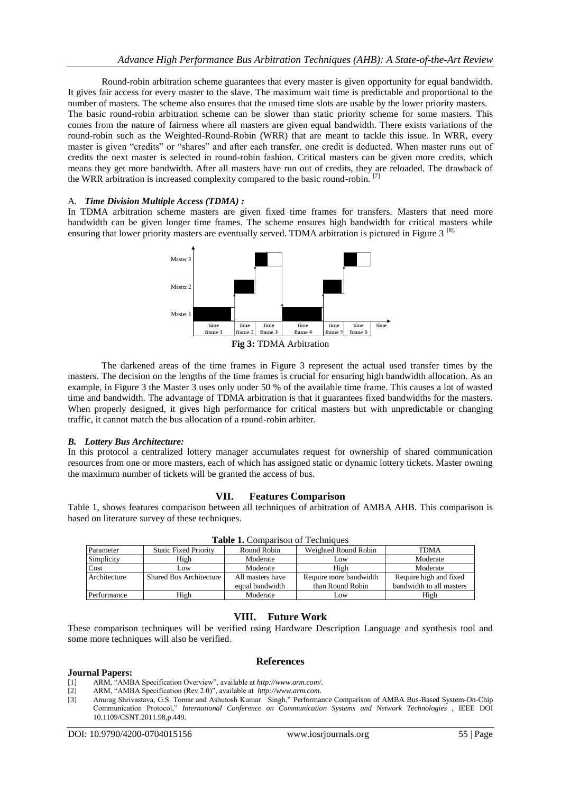Round-robin arbitration scheme guarantees that every master is given opportunity for equal bandwidth. It gives fair access for every master to the slave. The maximum wait time is predictable and proportional to the number of masters. The scheme also ensures that the unused time slots are usable by the lower priority masters. The basic round-robin arbitration scheme can be slower than static priority scheme for some masters. This comes from the nature of fairness where all masters are given equal bandwidth. There exists variations of the round-robin such as the Weighted-Round-Robin (WRR) that are meant to tackle this issue. In WRR, every master is given "credits" or "shares" and after each transfer, one credit is deducted. When master runs out of credits the next master is selected in round-robin fashion. Critical masters can be given more credits, which means they get more bandwidth. After all masters have run out of credits, they are reloaded. The drawback of the WRR arbitration is increased complexity compared to the basic round-robin. [7]

#### A. *Time Division Multiple Access (TDMA) :*

In TDMA arbitration scheme masters are given fixed time frames for transfers. Masters that need more bandwidth can be given longer time frames. The scheme ensures high bandwidth for critical masters while ensuring that lower priority masters are eventually served. TDMA arbitration is pictured in Figure 3<sup>81</sup>.



The darkened areas of the time frames in Figure 3 represent the actual used transfer times by the masters. The decision on the lengths of the time frames is crucial for ensuring high bandwidth allocation. As an example, in Figure 3 the Master 3 uses only under 50 % of the available time frame. This causes a lot of wasted time and bandwidth. The advantage of TDMA arbitration is that it guarantees fixed bandwidths for the masters. When properly designed, it gives high performance for critical masters but with unpredictable or changing traffic, it cannot match the bus allocation of a round-robin arbiter.

#### *B. Lottery Bus Architecture:*

In this protocol a centralized lottery manager accumulates request for ownership of shared communication resources from one or more masters, each of which has assigned static or dynamic lottery tickets. Master owning the maximum number of tickets will be granted the access of bus.

#### **VII. Features Comparison**

Table 1, shows features comparison between all techniques of arbitration of AMBA AHB. This comparison is based on literature survey of these techniques.

| Parameter    | <b>Static Fixed Priority</b> | Round Robin      | Weighted Round Robin   | <b>TDMA</b>              |
|--------------|------------------------------|------------------|------------------------|--------------------------|
| Simplicity   | High                         | Moderate         | Low                    | Moderate                 |
| Cost         | Low                          | Moderate         | High                   | Moderate                 |
| Architecture | Shared Bus Architecture      | All masters have | Require more bandwidth | Require high and fixed   |
|              |                              | equal bandwidth  | than Round Robin       | bandwidth to all masters |
| Performance  | High                         | Moderate         | Low                    | High                     |

**Table 1.** Comparison of Techniques

## **VIII. Future Work**

These comparison techniques will be verified using Hardware Description Language and synthesis tool and some more techniques will also be verified.

**References**

#### **Journal Papers:**

- [1] ARM, "AMBA Specification Overview", available at *http://www.arm.com/*.
- [2] ARM, "AMBA Specification (Rev 2.0)", available at *http://www.arm.com*.
- [3] Anurag Shrivastava, G.S. Tomar and Ashutosh Kumar Singh," Performance Comparison of AMBA Bus-Based System-On-Chip Communication Protocol," *International Conference on Communication Systems and Network Technologies ,* IEEE DOI 10.1109/CSNT.2011.98,p.449.